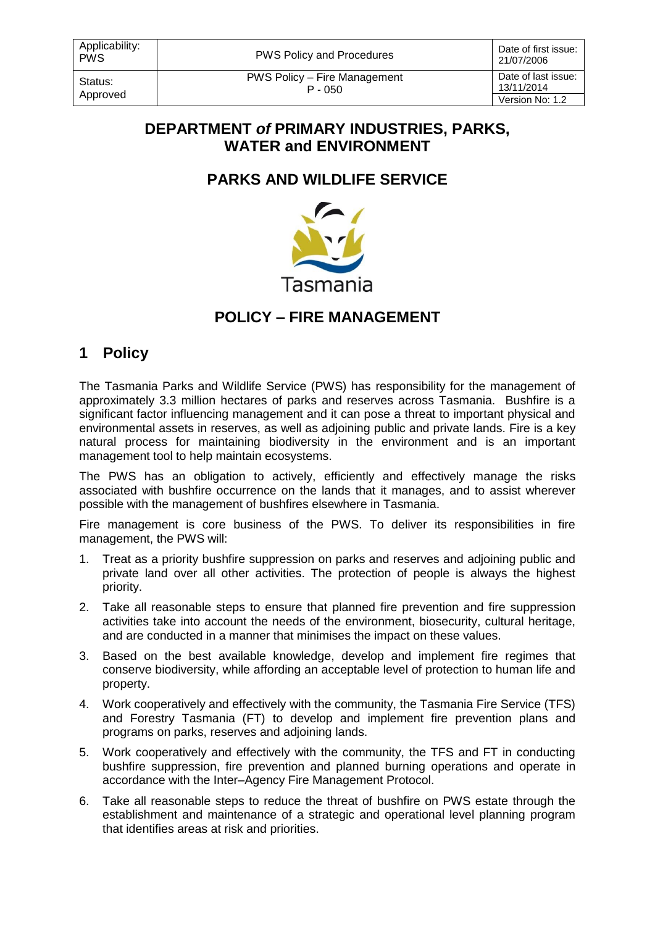Status: Approved PWS Policy – Fire Management P - 050

21/07/2006 Date of last issue: 13/11/2014 Version No: 1.2

#### **DEPARTMENT** *of* **PRIMARY INDUSTRIES, PARKS, WATER and ENVIRONMENT**

## **PARKS AND WILDLIFE SERVICE**



## **POLICY – FIRE MANAGEMENT**

# **1 Policy**

The Tasmania Parks and Wildlife Service (PWS) has responsibility for the management of approximately 3.3 million hectares of parks and reserves across Tasmania. Bushfire is a significant factor influencing management and it can pose a threat to important physical and environmental assets in reserves, as well as adjoining public and private lands. Fire is a key natural process for maintaining biodiversity in the environment and is an important management tool to help maintain ecosystems.

The PWS has an obligation to actively, efficiently and effectively manage the risks associated with bushfire occurrence on the lands that it manages, and to assist wherever possible with the management of bushfires elsewhere in Tasmania.

Fire management is core business of the PWS. To deliver its responsibilities in fire management, the PWS will:

- 1. Treat as a priority bushfire suppression on parks and reserves and adjoining public and private land over all other activities. The protection of people is always the highest priority.
- 2. Take all reasonable steps to ensure that planned fire prevention and fire suppression activities take into account the needs of the environment, biosecurity, cultural heritage, and are conducted in a manner that minimises the impact on these values.
- 3. Based on the best available knowledge, develop and implement fire regimes that conserve biodiversity, while affording an acceptable level of protection to human life and property.
- 4. Work cooperatively and effectively with the community, the Tasmania Fire Service (TFS) and Forestry Tasmania (FT) to develop and implement fire prevention plans and programs on parks, reserves and adjoining lands.
- 5. Work cooperatively and effectively with the community, the TFS and FT in conducting bushfire suppression, fire prevention and planned burning operations and operate in accordance with the Inter–Agency Fire Management Protocol.
- 6. Take all reasonable steps to reduce the threat of bushfire on PWS estate through the establishment and maintenance of a strategic and operational level planning program that identifies areas at risk and priorities.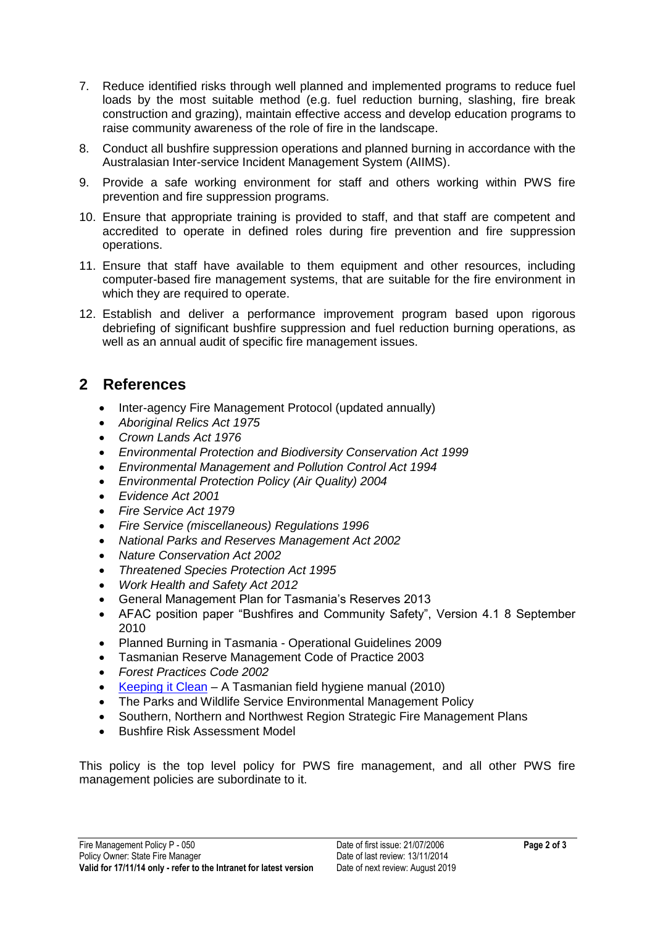- 7. Reduce identified risks through well planned and implemented programs to reduce fuel loads by the most suitable method (e.g. fuel reduction burning, slashing, fire break construction and grazing), maintain effective access and develop education programs to raise community awareness of the role of fire in the landscape.
- 8. Conduct all bushfire suppression operations and planned burning in accordance with the Australasian Inter-service Incident Management System (AIIMS).
- 9. Provide a safe working environment for staff and others working within PWS fire prevention and fire suppression programs.
- 10. Ensure that appropriate training is provided to staff, and that staff are competent and accredited to operate in defined roles during fire prevention and fire suppression operations.
- 11. Ensure that staff have available to them equipment and other resources, including computer-based fire management systems, that are suitable for the fire environment in which they are required to operate.
- 12. Establish and deliver a performance improvement program based upon rigorous debriefing of significant bushfire suppression and fuel reduction burning operations, as well as an annual audit of specific fire management issues.

## **2 References**

- Inter-agency Fire Management Protocol (updated annually)
- *Aboriginal Relics Act 1975*
- *Crown Lands Act 1976*
- *Environmental Protection and Biodiversity Conservation Act 1999*
- *Environmental Management and Pollution Control Act 1994*
- *Environmental Protection Policy (Air Quality) 2004*
- *Evidence Act 2001*
- *Fire Service Act 1979*
- *Fire Service (miscellaneous) Regulations 1996*
- *National Parks and Reserves Management Act 2002*
- *Nature Conservation Act 2002*
- *Threatened Species Protection Act 1995*
- *Work Health and Safety Act 2012*
- General Management Plan for Tasmania's Reserves 2013
- AFAC position paper "Bushfires and Community Safety", Version 4.1 8 September 2010
- Planned Burning in Tasmania Operational Guidelines 2009
- Tasmanian Reserve Management Code of Practice 2003
- *Forest Practices Code 2002*
- [Keeping it Clean](http://www.dpiw.tas.gov.au/inter.nsf/Attachments/LBUN-86X7YY/$FILE/15130802_52keepingitcleanspreadswe.pdf) A Tasmanian field hygiene manual (2010)
- The Parks and Wildlife Service Environmental Management Policy
- Southern, Northern and Northwest Region Strategic Fire Management Plans
- Bushfire Risk Assessment Model

This policy is the top level policy for PWS fire management, and all other PWS fire management policies are subordinate to it.